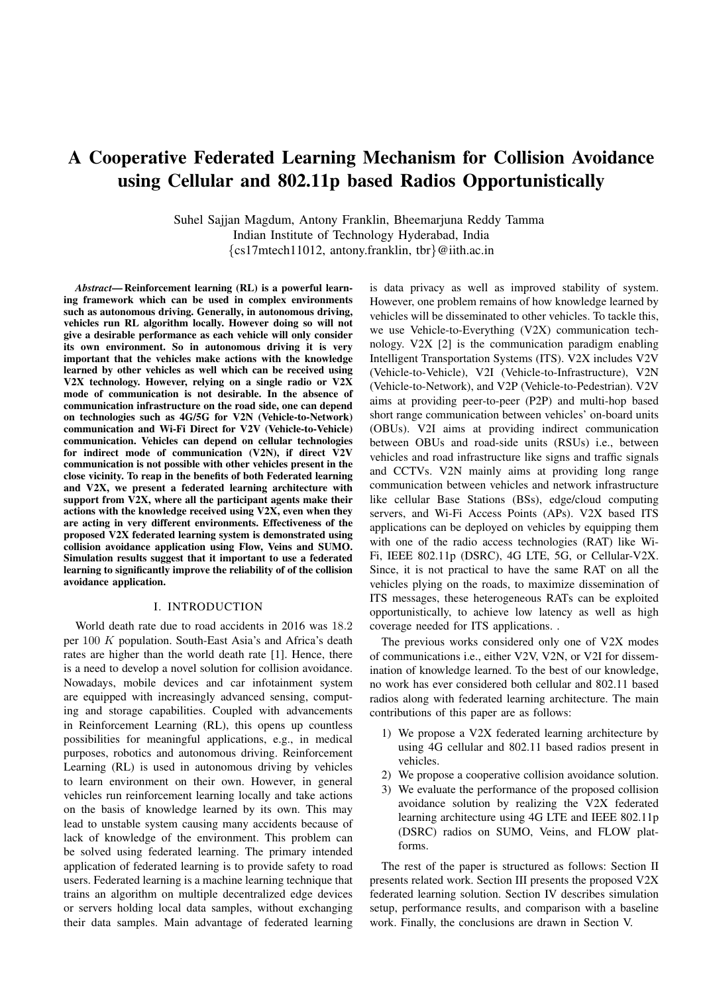# A Cooperative Federated Learning Mechanism for Collision Avoidance using Cellular and 802.11p based Radios Opportunistically

Suhel Sajjan Magdum, Antony Franklin, Bheemarjuna Reddy Tamma Indian Institute of Technology Hyderabad, India {cs17mtech11012, antony.franklin, tbr}@iith.ac.in

*Abstract*— Reinforcement learning (RL) is a powerful learning framework which can be used in complex environments such as autonomous driving. Generally, in autonomous driving, vehicles run RL algorithm locally. However doing so will not give a desirable performance as each vehicle will only consider its own environment. So in autonomous driving it is very important that the vehicles make actions with the knowledge learned by other vehicles as well which can be received using V2X technology. However, relying on a single radio or V2X mode of communication is not desirable. In the absence of communication infrastructure on the road side, one can depend on technologies such as 4G/5G for V2N (Vehicle-to-Network) communication and Wi-Fi Direct for V2V (Vehicle-to-Vehicle) communication. Vehicles can depend on cellular technologies for indirect mode of communication (V2N), if direct V2V communication is not possible with other vehicles present in the close vicinity. To reap in the benefits of both Federated learning and V2X, we present a federated learning architecture with support from V2X, where all the participant agents make their actions with the knowledge received using V2X, even when they are acting in very different environments. Effectiveness of the proposed V2X federated learning system is demonstrated using collision avoidance application using Flow, Veins and SUMO. Simulation results suggest that it important to use a federated learning to significantly improve the reliability of of the collision avoidance application.

## I. INTRODUCTION

World death rate due to road accidents in 2016 was 18.2 per 100 K population. South-East Asia's and Africa's death rates are higher than the world death rate [1]. Hence, there is a need to develop a novel solution for collision avoidance. Nowadays, mobile devices and car infotainment system are equipped with increasingly advanced sensing, computing and storage capabilities. Coupled with advancements in Reinforcement Learning (RL), this opens up countless possibilities for meaningful applications, e.g., in medical purposes, robotics and autonomous driving. Reinforcement Learning (RL) is used in autonomous driving by vehicles to learn environment on their own. However, in general vehicles run reinforcement learning locally and take actions on the basis of knowledge learned by its own. This may lead to unstable system causing many accidents because of lack of knowledge of the environment. This problem can be solved using federated learning. The primary intended application of federated learning is to provide safety to road users. Federated learning is a machine learning technique that trains an algorithm on multiple decentralized edge devices or servers holding local data samples, without exchanging their data samples. Main advantage of federated learning

is data privacy as well as improved stability of system. However, one problem remains of how knowledge learned by vehicles will be disseminated to other vehicles. To tackle this, we use Vehicle-to-Everything (V2X) communication technology. V2X [2] is the communication paradigm enabling Intelligent Transportation Systems (ITS). V2X includes V2V (Vehicle-to-Vehicle), V2I (Vehicle-to-Infrastructure), V2N (Vehicle-to-Network), and V2P (Vehicle-to-Pedestrian). V2V aims at providing peer-to-peer (P2P) and multi-hop based short range communication between vehicles' on-board units (OBUs). V2I aims at providing indirect communication between OBUs and road-side units (RSUs) i.e., between vehicles and road infrastructure like signs and traffic signals and CCTVs. V2N mainly aims at providing long range communication between vehicles and network infrastructure like cellular Base Stations (BSs), edge/cloud computing servers, and Wi-Fi Access Points (APs). V2X based ITS applications can be deployed on vehicles by equipping them with one of the radio access technologies (RAT) like Wi-Fi, IEEE 802.11p (DSRC), 4G LTE, 5G, or Cellular-V2X. Since, it is not practical to have the same RAT on all the vehicles plying on the roads, to maximize dissemination of ITS messages, these heterogeneous RATs can be exploited opportunistically, to achieve low latency as well as high coverage needed for ITS applications. .

The previous works considered only one of V2X modes of communications i.e., either V2V, V2N, or V2I for dissemination of knowledge learned. To the best of our knowledge, no work has ever considered both cellular and 802.11 based radios along with federated learning architecture. The main contributions of this paper are as follows:

- 1) We propose a V2X federated learning architecture by using 4G cellular and 802.11 based radios present in vehicles.
- 2) We propose a cooperative collision avoidance solution.
- 3) We evaluate the performance of the proposed collision avoidance solution by realizing the V2X federated learning architecture using 4G LTE and IEEE 802.11p (DSRC) radios on SUMO, Veins, and FLOW platforms.

The rest of the paper is structured as follows: Section II presents related work. Section III presents the proposed V2X federated learning solution. Section IV describes simulation setup, performance results, and comparison with a baseline work. Finally, the conclusions are drawn in Section V.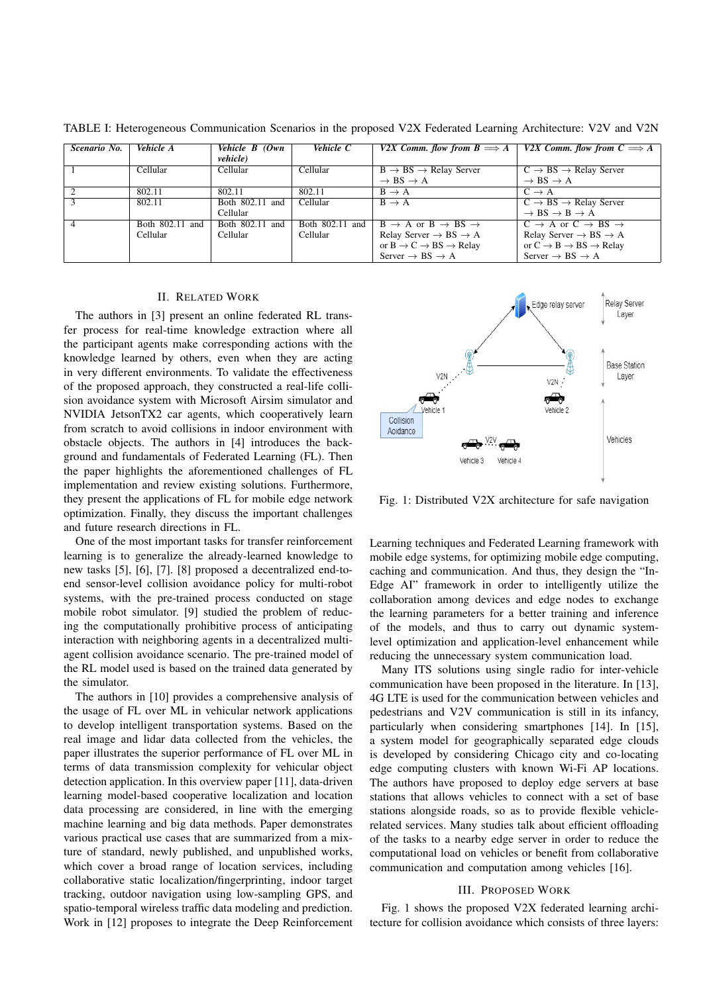| Scenario No. | Vehicle A       | Vehicle B (Own   | Vehicle C       | V2X Comm. flow from $B \Longrightarrow A$           | V2X Comm. flow from $C \Longrightarrow A$             |
|--------------|-----------------|------------------|-----------------|-----------------------------------------------------|-------------------------------------------------------|
|              |                 | <i>vehicle</i> ) |                 |                                                     |                                                       |
|              | Cellular        | Cellular         | Cellular        | $B \rightarrow BS \rightarrow Relay Server$         | $C \rightarrow BS \rightarrow Relay Server$           |
|              |                 |                  |                 | $\rightarrow$ BS $\rightarrow$ A                    | $\rightarrow$ BS $\rightarrow$ A                      |
|              | 802.11          | 802.11           | 802.11          | $B \rightarrow A$                                   | $C \rightarrow A$                                     |
|              | 802.11          | Both 802.11 and  | Cellular        | $B \rightarrow A$                                   | $C \rightarrow BS \rightarrow Relay Server$           |
|              |                 | Cellular         |                 |                                                     | $\rightarrow$ BS $\rightarrow$ B $\rightarrow$ A      |
|              | Both 802.11 and | Both 802.11 and  | Both 802.11 and | $B \rightarrow A$ or $B \rightarrow BS \rightarrow$ | $C \rightarrow A$ or $C \rightarrow BS \rightarrow$   |
|              | Cellular        | Cellular         | Cellular        | Relay Server $\rightarrow$ BS $\rightarrow$ A       | Relay Server $\rightarrow$ BS $\rightarrow$ A         |
|              |                 |                  |                 | or $B \to C \to BS \to Relay$                       | or $C \rightarrow B \rightarrow BS \rightarrow Relay$ |
|              |                 |                  |                 | Server $\rightarrow$ BS $\rightarrow$ A             | Server $\rightarrow$ BS $\rightarrow$ A               |

TABLE I: Heterogeneous Communication Scenarios in the proposed V2X Federated Learning Architecture: V2V and V2N

#### II. RELATED WORK

The authors in [3] present an online federated RL transfer process for real-time knowledge extraction where all the participant agents make corresponding actions with the knowledge learned by others, even when they are acting in very different environments. To validate the effectiveness of the proposed approach, they constructed a real-life collision avoidance system with Microsoft Airsim simulator and NVIDIA JetsonTX2 car agents, which cooperatively learn from scratch to avoid collisions in indoor environment with obstacle objects. The authors in [4] introduces the background and fundamentals of Federated Learning (FL). Then the paper highlights the aforementioned challenges of FL implementation and review existing solutions. Furthermore, they present the applications of FL for mobile edge network optimization. Finally, they discuss the important challenges and future research directions in FL.

One of the most important tasks for transfer reinforcement learning is to generalize the already-learned knowledge to new tasks [5], [6], [7]. [8] proposed a decentralized end-toend sensor-level collision avoidance policy for multi-robot systems, with the pre-trained process conducted on stage mobile robot simulator. [9] studied the problem of reducing the computationally prohibitive process of anticipating interaction with neighboring agents in a decentralized multiagent collision avoidance scenario. The pre-trained model of the RL model used is based on the trained data generated by the simulator.

The authors in [10] provides a comprehensive analysis of the usage of FL over ML in vehicular network applications to develop intelligent transportation systems. Based on the real image and lidar data collected from the vehicles, the paper illustrates the superior performance of FL over ML in terms of data transmission complexity for vehicular object detection application. In this overview paper [11], data-driven learning model-based cooperative localization and location data processing are considered, in line with the emerging machine learning and big data methods. Paper demonstrates various practical use cases that are summarized from a mixture of standard, newly published, and unpublished works, which cover a broad range of location services, including collaborative static localization/fingerprinting, indoor target tracking, outdoor navigation using low-sampling GPS, and spatio-temporal wireless traffic data modeling and prediction. Work in [12] proposes to integrate the Deep Reinforcement



Fig. 1: Distributed V2X architecture for safe navigation

Learning techniques and Federated Learning framework with mobile edge systems, for optimizing mobile edge computing, caching and communication. And thus, they design the "In-Edge AI" framework in order to intelligently utilize the collaboration among devices and edge nodes to exchange the learning parameters for a better training and inference of the models, and thus to carry out dynamic systemlevel optimization and application-level enhancement while reducing the unnecessary system communication load.

Many ITS solutions using single radio for inter-vehicle communication have been proposed in the literature. In [13], 4G LTE is used for the communication between vehicles and pedestrians and V2V communication is still in its infancy, particularly when considering smartphones [14]. In [15], a system model for geographically separated edge clouds is developed by considering Chicago city and co-locating edge computing clusters with known Wi-Fi AP locations. The authors have proposed to deploy edge servers at base stations that allows vehicles to connect with a set of base stations alongside roads, so as to provide flexible vehiclerelated services. Many studies talk about efficient offloading of the tasks to a nearby edge server in order to reduce the computational load on vehicles or benefit from collaborative communication and computation among vehicles [16].

#### III. PROPOSED WORK

Fig. 1 shows the proposed V2X federated learning architecture for collision avoidance which consists of three layers: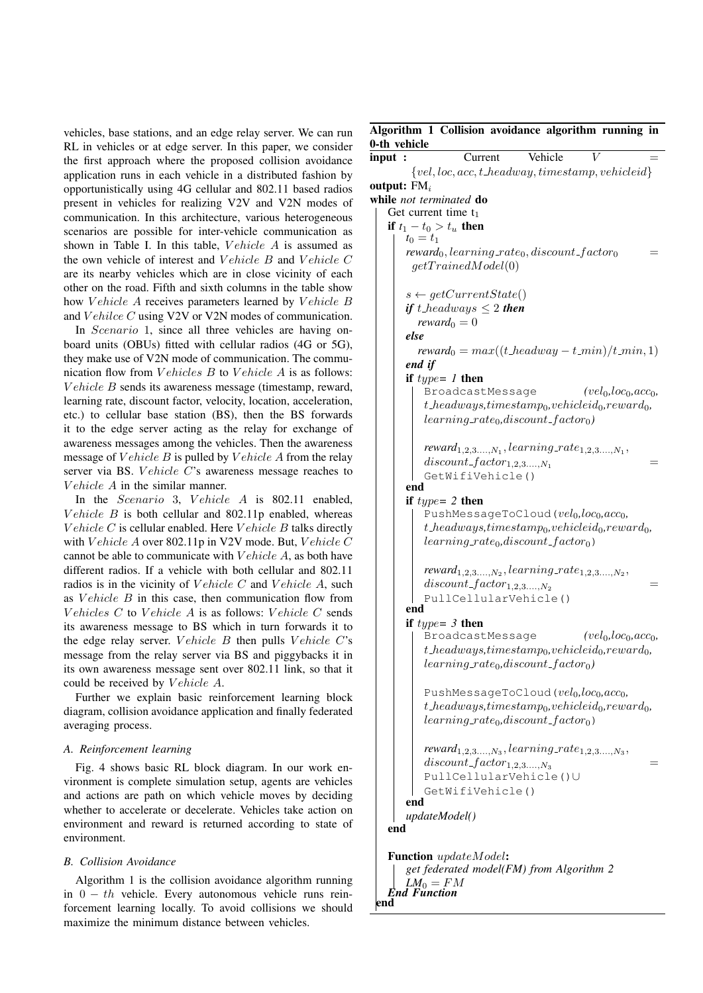vehicles, base stations, and an edge relay server. We can run RL in vehicles or at edge server. In this paper, we consider the first approach where the proposed collision avoidance application runs in each vehicle in a distributed fashion by opportunistically using 4G cellular and 802.11 based radios present in vehicles for realizing V2V and V2N modes of communication. In this architecture, various heterogeneous scenarios are possible for inter-vehicle communication as shown in Table I. In this table, *Vehicle A* is assumed as the own vehicle of interest and Vehicle B and Vehicle C are its nearby vehicles which are in close vicinity of each other on the road. Fifth and sixth columns in the table show how Vehicle A receives parameters learned by Vehicle B and Vehilce C using V2V or V2N modes of communication.

In *Scenario* 1, since all three vehicles are having onboard units (OBUs) fitted with cellular radios (4G or 5G), they make use of V2N mode of communication. The communication flow from  $VehicleB$  to  $VehicleA$  is as follows: Vehicle B sends its awareness message (timestamp, reward, learning rate, discount factor, velocity, location, acceleration, etc.) to cellular base station (BS), then the BS forwards it to the edge server acting as the relay for exchange of awareness messages among the vehicles. Then the awareness message of  $Vehicle$  B is pulled by  $Vehicle$  A from the relay server via BS. Vehicle C's awareness message reaches to Vehicle A in the similar manner.

In the *Scenario* 3, *Vehicle A* is  $802.11$  enabled, Vehicle  $B$  is both cellular and 802.11p enabled, whereas V ehicle  $C$  is cellular enabled. Here V ehicle  $B$  talks directly with V ehicle  $A$  over 802.11p in V2V mode. But, V ehicle C cannot be able to communicate with  $Vehicle$  A, as both have different radios. If a vehicle with both cellular and 802.11 radios is in the vicinity of *V* ehicle  $C$  and *V* ehicle  $A$ , such as *V ehicle B* in this case, then communication flow from Vehicles  $C$  to Vehicle  $A$  is as follows: Vehicle  $C$  sends its awareness message to BS which in turn forwards it to the edge relay server. V ehicle  $B$  then pulls V ehicle  $C$ 's message from the relay server via BS and piggybacks it in its own awareness message sent over 802.11 link, so that it could be received by Vehicle A.

Further we explain basic reinforcement learning block diagram, collision avoidance application and finally federated averaging process.

## *A. Reinforcement learning*

Fig. 4 shows basic RL block diagram. In our work environment is complete simulation setup, agents are vehicles and actions are path on which vehicle moves by deciding whether to accelerate or decelerate. Vehicles take action on environment and reward is returned according to state of environment.

## *B. Collision Avoidance*

Algorithm 1 is the collision avoidance algorithm running in  $0 - th$  vehicle. Every autonomous vehicle runs reinforcement learning locally. To avoid collisions we should maximize the minimum distance between vehicles.

end

## Algorithm 1 Collision avoidance algorithm running in  $0$ -th

| о-ин уенісіе   |                                                                                                              |
|----------------|--------------------------------------------------------------------------------------------------------------|
| input :        | Current<br>Vehicle                                                                                           |
|                | $\{vel, loc, acc, t\_headway, timestamp, vehicleid\}$                                                        |
| output: $FM_i$ |                                                                                                              |
|                | while not terminated do                                                                                      |
|                | Get current time $t_1$                                                                                       |
|                | if $t_1 - t_0 > t_u$ then                                                                                    |
|                | $t_0 = t_1$                                                                                                  |
|                | $reward_0, learning\_rate_0, discount\_factor_0$                                                             |
|                | getTriangleModel(0)                                                                                          |
|                |                                                                                                              |
|                | $s \leftarrow getCurrentState()$<br>if t_headways $\leq 2$ then                                              |
|                | reward <sub>0</sub> $= 0$                                                                                    |
|                | else                                                                                                         |
|                | $reward_0 = max((t \text{.} headway - t \text{.} min)/t \text{.} min, 1)$                                    |
|                | end if                                                                                                       |
|                | if $type = 1$ then                                                                                           |
|                | BroadcastMessage<br>$(vel_0, loc_0, acc_0,$                                                                  |
|                | $t$ <sub>-</sub> headways,timestamp <sub>0</sub> ,vehicleid <sub>0</sub> ,reward <sub>0</sub> ,              |
|                | $learning\_rate_0, discount\_factor_0)$                                                                      |
|                |                                                                                                              |
|                | $reward_{1,2,3,,N_1}, learning\_rate_{1,2,3,,N_1},$                                                          |
|                | $discount\_factor_{1,2,3,,N_1}$                                                                              |
|                | GetWifiVehicle()                                                                                             |
|                | end                                                                                                          |
|                | if $type = 2$ then                                                                                           |
|                | PushMessageToCloud( $vel_0, loc_0, acc_0$ ,                                                                  |
|                | $t$ <sub>-</sub> headways,timestamp <sub>0</sub> ,vehicleid <sub>0</sub> ,reward <sub>0</sub> ,              |
|                | $learning_rate_0, discount_factor_0)$                                                                        |
|                | $reward_{1,2,3,,N_2}, learning\_rate_{1,2,3,,N_2},$                                                          |
|                | $discount\_factor_{1,2,3,,N_2}$                                                                              |
|                | PullCellularVehicle()                                                                                        |
|                | end                                                                                                          |
|                | if $type = 3$ then                                                                                           |
|                | $(vel_0, loc_0, acc_0,$<br>BroadcastMessage                                                                  |
|                | $t\_heads, timestamp_0, vehicleid_0, reward_0,$                                                              |
|                | $learning\_rate_0, discount\_factor_0)$                                                                      |
|                | PushMessageToCloud( $vel_0, loc_0, acc_0,$                                                                   |
|                | $t$ <sub>-</sub> headways,timestamp <sub>0</sub> , vehicleid <sub>0</sub> , reward <sub>0</sub> ,            |
|                | $learning_rate_0, discount_factor_0)$                                                                        |
|                | <i>reward</i> <sub>1,2,3</sub> , <i>learning_rate</i> <sub>1,2,3</sub> , <i>lg</i> , <i>n</i> <sub>3</sub> , |
|                | $discount\_factor_{1,2,3,,N_3}$                                                                              |
|                | PullCellularVehicle()U                                                                                       |
|                | GetWifiVehicle()                                                                                             |
|                | end                                                                                                          |
|                | updateModel()                                                                                                |
| end            |                                                                                                              |
|                |                                                                                                              |
|                | Function updateModel:<br>get federated model(FM) from Algorithm 2                                            |
|                | $LM_0 = FM$                                                                                                  |
|                | <b>End Function</b>                                                                                          |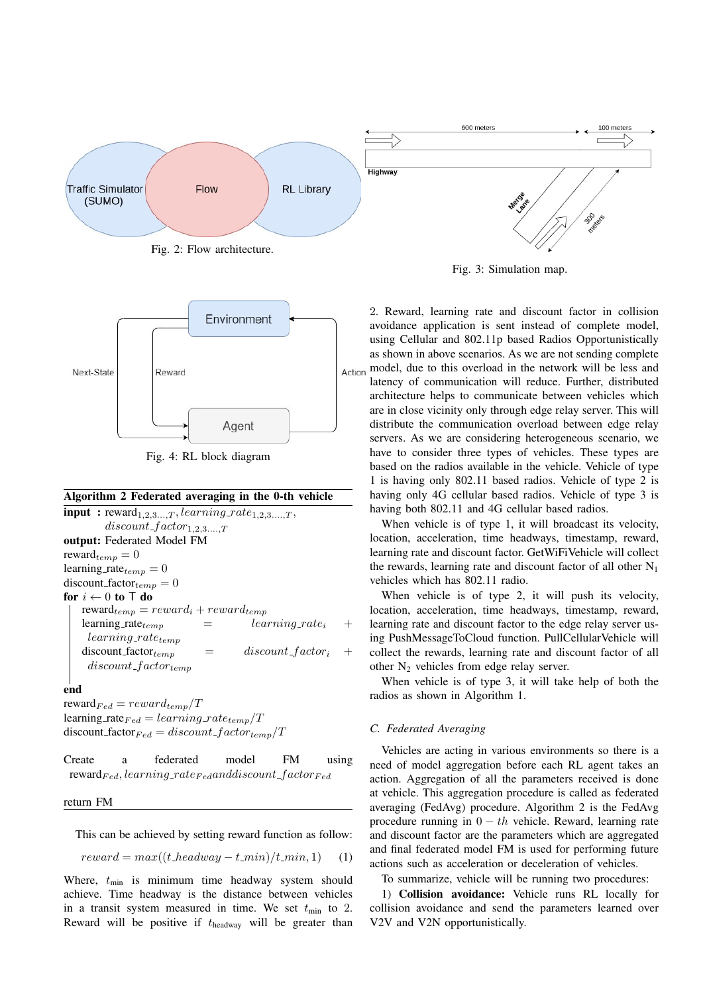

Fig. 2: Flow architecture.





## Algorithm 2 Federated averaging in the 0-th vehicle

 $\text{input}: \text{reward}_{1,2,3...T}, learning\_rate_{1,2,3...T},$  $discount\_factor_{1,2,3,...,T}$ output: Federated Model FM reward $t_{temp} = 0$ learning rate $_{temp} = 0$ discount factor $_{temp} = 0$ for  $i \leftarrow 0$  to T do  $reward_{temp} = reward_i + reward_{temp}$ learning rate  $\ell_{temp}$  =  $\ell_{learning\_rate_i}$  $learning_rate_{temp}$  $discount\_factor_{temp}$  =  $discount\_factor_i$  $discount\_factor_{temp}$ 

## end

reward $_{Fed} = reward_{temp}/T$ learning rate  $_{Fed} = learning\_rate_{temp}/T$ discount factor  $_{Fed} = discount\_factor_{temp}/T$ 

Create a federated model FM using reward $_{Fed}$ , learning rate  $_{Fed}$  and discount f actor  $_{Fed}$ 

#### return FM

This can be achieved by setting reward function as follow:

$$
reward = max((t \text{ .} headway - t \text{ .} min)/t \text{ .} min, 1) \quad (1)
$$

Where,  $t_{\text{min}}$  is minimum time headway system should achieve. Time headway is the distance between vehicles in a transit system measured in time. We set  $t_{\text{min}}$  to 2. Reward will be positive if  $t_{\text{headway}}$  will be greater than



Fig. 3: Simulation map.

2. Reward, learning rate and discount factor in collision avoidance application is sent instead of complete model, using Cellular and 802.11p based Radios Opportunistically as shown in above scenarios. As we are not sending complete Action model, due to this overload in the network will be less and latency of communication will reduce. Further, distributed architecture helps to communicate between vehicles which are in close vicinity only through edge relay server. This will distribute the communication overload between edge relay servers. As we are considering heterogeneous scenario, we have to consider three types of vehicles. These types are based on the radios available in the vehicle. Vehicle of type 1 is having only 802.11 based radios. Vehicle of type 2 is having only 4G cellular based radios. Vehicle of type 3 is having both 802.11 and 4G cellular based radios.

When vehicle is of type 1, it will broadcast its velocity, location, acceleration, time headways, timestamp, reward, learning rate and discount factor. GetWiFiVehicle will collect the rewards, learning rate and discount factor of all other  $N_1$ vehicles which has 802.11 radio.

When vehicle is of type 2, it will push its velocity, location, acceleration, time headways, timestamp, reward, learning rate and discount factor to the edge relay server using PushMessageToCloud function. PullCellularVehicle will collect the rewards, learning rate and discount factor of all other  $N_2$  vehicles from edge relay server.

When vehicle is of type 3, it will take help of both the radios as shown in Algorithm 1.

## *C. Federated Averaging*

Vehicles are acting in various environments so there is a need of model aggregation before each RL agent takes an action. Aggregation of all the parameters received is done at vehicle. This aggregation procedure is called as federated averaging (FedAvg) procedure. Algorithm 2 is the FedAvg procedure running in  $0 - th$  vehicle. Reward, learning rate and discount factor are the parameters which are aggregated and final federated model FM is used for performing future actions such as acceleration or deceleration of vehicles.

To summarize, vehicle will be running two procedures:

1) Collision avoidance: Vehicle runs RL locally for collision avoidance and send the parameters learned over V2V and V2N opportunistically.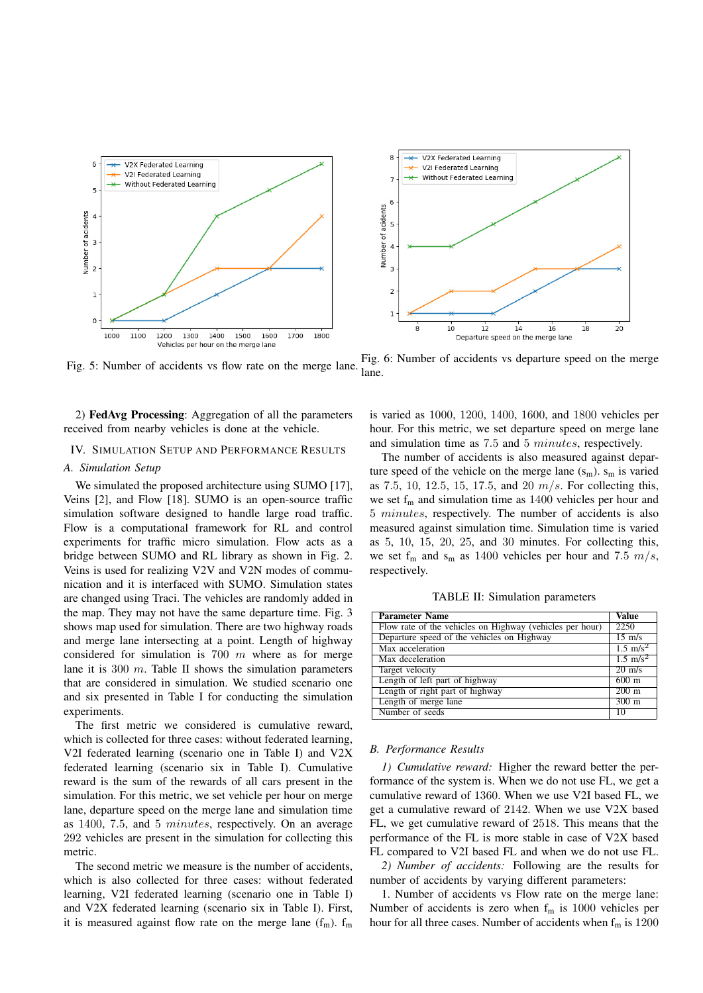

Fig. 5: Number of accidents vs flow rate on the merge lane. Fig. 6: Number of accidents vs departure speed on the merge lane.

2) FedAvg Processing: Aggregation of all the parameters received from nearby vehicles is done at the vehicle.

# IV. SIMULATION SETUP AND PERFORMANCE RESULTS

## *A. Simulation Setup*

We simulated the proposed architecture using SUMO [17]. Veins [2], and Flow [18]. SUMO is an open-source traffic simulation software designed to handle large road traffic. Flow is a computational framework for RL and control experiments for traffic micro simulation. Flow acts as a bridge between SUMO and RL library as shown in Fig. 2. Veins is used for realizing V2V and V2N modes of communication and it is interfaced with SUMO. Simulation states are changed using Traci. The vehicles are randomly added in the map. They may not have the same departure time. Fig. 3 shows map used for simulation. There are two highway roads and merge lane intersecting at a point. Length of highway considered for simulation is 700  $m$  where as for merge lane it is 300  $m$ . Table II shows the simulation parameters that are considered in simulation. We studied scenario one and six presented in Table I for conducting the simulation experiments.

The first metric we considered is cumulative reward, which is collected for three cases: without federated learning, V2I federated learning (scenario one in Table I) and V2X federated learning (scenario six in Table I). Cumulative reward is the sum of the rewards of all cars present in the simulation. For this metric, we set vehicle per hour on merge lane, departure speed on the merge lane and simulation time as 1400, 7.5, and 5 minutes, respectively. On an average 292 vehicles are present in the simulation for collecting this metric.

The second metric we measure is the number of accidents, which is also collected for three cases: without federated learning, V2I federated learning (scenario one in Table I) and V2X federated learning (scenario six in Table I). First, it is measured against flow rate on the merge lane  $(f_m)$ .  $f_m$ 

is varied as 1000, 1200, 1400, 1600, and 1800 vehicles per hour. For this metric, we set departure speed on merge lane and simulation time as 7.5 and 5 minutes, respectively.

The number of accidents is also measured against departure speed of the vehicle on the merge lane  $(s_m)$ .  $s_m$  is varied as 7.5, 10, 12.5, 15, 17.5, and 20  $m/s$ . For collecting this, we set  $f_m$  and simulation time as 1400 vehicles per hour and 5 minutes, respectively. The number of accidents is also measured against simulation time. Simulation time is varied as 5, 10, 15, 20, 25, and 30 minutes. For collecting this, we set  $f_m$  and  $s_m$  as 1400 vehicles per hour and 7.5  $m/s$ , respectively.

TABLE II: Simulation parameters

| <b>Parameter Name</b>                                    | Value               |
|----------------------------------------------------------|---------------------|
| Flow rate of the vehicles on Highway (vehicles per hour) | 2250                |
| Departure speed of the vehicles on Highway               | $15 \text{ m/s}$    |
| Max acceleration                                         | $1.5 \text{ m/s}^2$ |
| Max deceleration                                         | $1.5 \text{ m/s}^2$ |
| Target velocity                                          | $20 \text{ m/s}$    |
| Length of left part of highway                           | $600 \text{ m}$     |
| Length of right part of highway                          | $200 \text{ m}$     |
| Length of merge lane                                     | $300 \text{ m}$     |
| Number of seeds                                          | 10                  |

#### *B. Performance Results*

*1) Cumulative reward:* Higher the reward better the performance of the system is. When we do not use FL, we get a cumulative reward of 1360. When we use V2I based FL, we get a cumulative reward of 2142. When we use V2X based FL, we get cumulative reward of 2518. This means that the performance of the FL is more stable in case of V2X based FL compared to V2I based FL and when we do not use FL.

*2) Number of accidents:* Following are the results for number of accidents by varying different parameters:

1. Number of accidents vs Flow rate on the merge lane: Number of accidents is zero when  $f_m$  is 1000 vehicles per hour for all three cases. Number of accidents when  $f_m$  is 1200